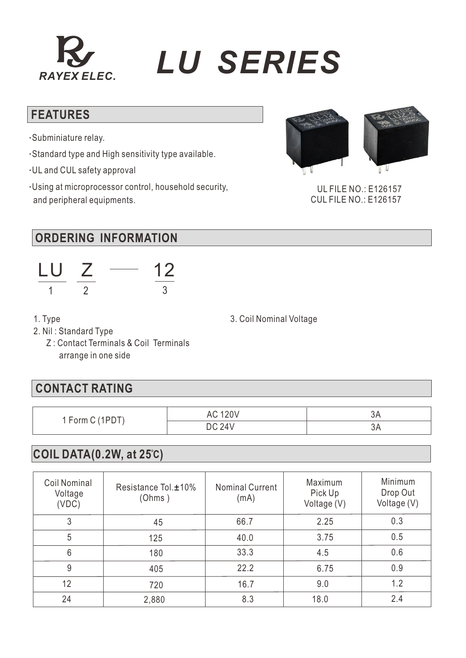## *RAYEX ELEC. LU SERIES*

#### **FEATURES**

- **·**Subminiature relay.
- **·**Standard type and High sensitivity type available.
- **·**UL and CUL safety approval
- **·**Using at microprocessor control, household security, and peripheral equipments.



 UL FILE NO.: E126157 CUL FILE NO.: E126157

#### **ORDERING INFORMATION**



1. Type

3. Coil Nominal Voltage

- 2. Nil : Standard Type
	- Z : Contact Terminals & Coil Terminals arrange in one side

#### **CONTACT RATING**

| 1 Form C (1PD | <b>AC 120V</b> | JН   |
|---------------|----------------|------|
|               | <b>DC 24V</b>  | - JA |

#### **COIL DATA(0.2W, at 25 ) C**

| <b>Coil Nominal</b><br>Voltage<br>(VDC) | Resistance Tol. <sup>+10%</sup><br>(Ohms) | <b>Nominal Current</b><br>(mA) | Maximum<br>Pick Up<br>Voltage (V) | Minimum<br>Drop Out<br>Voltage (V) |
|-----------------------------------------|-------------------------------------------|--------------------------------|-----------------------------------|------------------------------------|
| 3                                       | 45                                        | 66.7                           | 2.25                              | 0.3                                |
| 5                                       | 125                                       | 40.0                           | 3.75                              | 0.5                                |
| 6                                       | 180                                       | 33.3                           | 4.5                               | 0.6                                |
| 9                                       | 405                                       | 22.2                           | 6.75                              | 0.9                                |
| 12                                      | 720                                       | 16.7                           | 9.0                               | 1.2                                |
| 24                                      | 2,880                                     | 8.3                            | 18.0                              | 2.4                                |